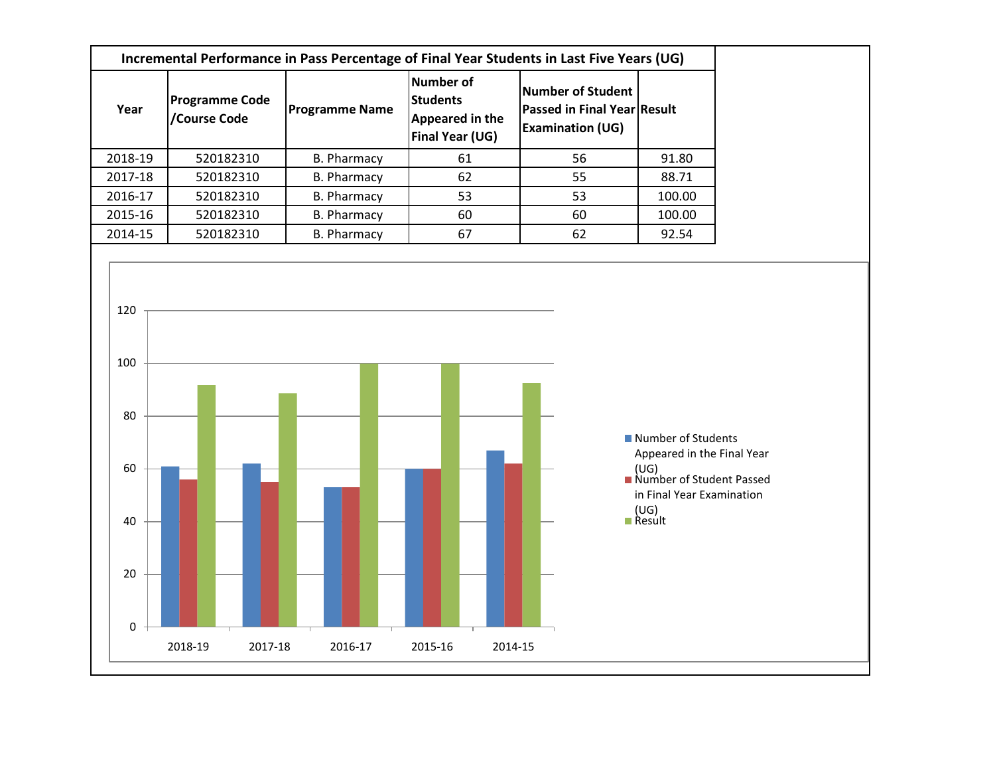| Incremental Performance in Pass Percentage of Final Year Students in Last Five Years (UG) |                                       |                       |                                                                    |                                                                             |        |  |  |  |  |
|-------------------------------------------------------------------------------------------|---------------------------------------|-----------------------|--------------------------------------------------------------------|-----------------------------------------------------------------------------|--------|--|--|--|--|
| Year                                                                                      | <b>Programme Code</b><br>/Course Code | <b>Programme Name</b> | Number of<br><b>Students</b><br>Appeared in the<br>Final Year (UG) | Number of Student<br>Passed in Final Year Result<br><b>Examination (UG)</b> |        |  |  |  |  |
| 2018-19                                                                                   | 520182310                             | B. Pharmacy           | 61                                                                 | 56                                                                          | 91.80  |  |  |  |  |
| 2017-18                                                                                   | 520182310                             | <b>B. Pharmacy</b>    | 62                                                                 | 55                                                                          | 88.71  |  |  |  |  |
| 2016-17                                                                                   | 520182310                             | B. Pharmacy           | 53                                                                 | 53                                                                          | 100.00 |  |  |  |  |
| 2015-16                                                                                   | 520182310                             | <b>B. Pharmacy</b>    | 60                                                                 | 60                                                                          | 100.00 |  |  |  |  |
| 2014-15                                                                                   | 520182310                             | <b>B. Pharmacy</b>    | 67                                                                 | 62                                                                          | 92.54  |  |  |  |  |